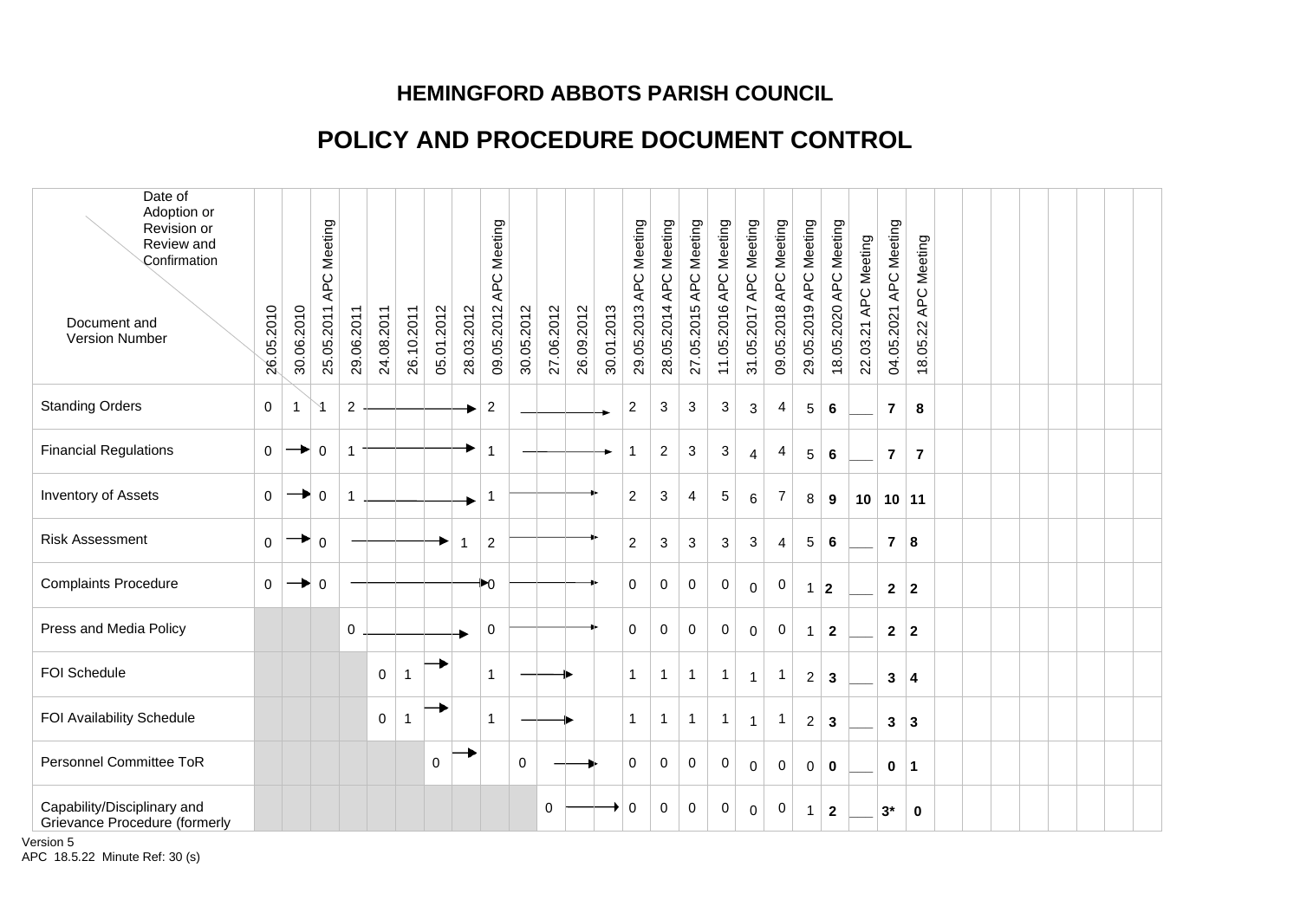## **HEMINGFORD ABBOTS PARISH COUNCIL**

## **POLICY AND PROCEDURE DOCUMENT CONTROL**

| Date of<br>Adoption or<br>Revision or<br>Review and<br>Confirmation<br>Document and<br>Version Number | 26.05.2010   | 30.06.2010   | APC Meeting<br>25.05.2011 | 29.06.2011       | 24.08.2011  | 26.10.2011  | 05.01.2012  | 28.03.2012 | Meeting<br>APC<br>09.05.2012 | 30.05.2012  | 27.06.2012 | 26.09.2012 | 30.01.2013 | 29.05.2013 APC Meeting | 28.05.2014 APC Meeting | Meeting<br>APC<br>27.05.2015 | 11.05.2016 APC Meeting | APC Meeting<br>31.05.2017 | 09.05.2018 APC Meeting | 29.05.2019 APC Meeting | 18.05.2020 APC Meeting | 22.03.21 APC Meeting | 04.05.2021 APC Meeting | APC Meeting<br>18.05.22 |  |  |  |  |
|-------------------------------------------------------------------------------------------------------|--------------|--------------|---------------------------|------------------|-------------|-------------|-------------|------------|------------------------------|-------------|------------|------------|------------|------------------------|------------------------|------------------------------|------------------------|---------------------------|------------------------|------------------------|------------------------|----------------------|------------------------|-------------------------|--|--|--|--|
| <b>Standing Orders</b>                                                                                | $\mathbf 0$  | $\mathbf{1}$ | $\lambda$                 | $\boldsymbol{2}$ |             |             |             |            | $\overline{a}$               |             |            |            |            | $\overline{c}$         | $\mathbf{3}$           | $\sqrt{3}$                   | 3                      | $\mathbf{3}$              | 4                      | $\sqrt{5}$             | 6                      |                      | $\overline{7}$         | 8                       |  |  |  |  |
| <b>Financial Regulations</b>                                                                          | $\mathbf 0$  |              | $\Omega$                  | $\mathbf{1}$     |             |             |             |            | $\overline{1}$               |             |            |            |            | 1                      | $\overline{c}$         | $\sqrt{3}$                   | 3                      | $\overline{4}$            | 4                      | 5                      | 6                      |                      | $\overline{7}$         | $\overline{7}$          |  |  |  |  |
| <b>Inventory of Assets</b>                                                                            | $\mathbf{0}$ | ▸.           | $\mathbf 0$               | $\mathbf{1}$     |             |             |             |            |                              |             |            |            |            | 2                      | 3                      | $\overline{4}$               | 5                      | $6\phantom{1}6$           | 7                      | 8                      | 9                      | 10                   | 10 11                  |                         |  |  |  |  |
| <b>Risk Assessment</b>                                                                                | $\Omega$     |              | $\Omega$                  |                  |             |             |             |            | $\overline{c}$               |             |            |            |            | $\overline{c}$         | $\mathbf{3}$           | $\mathfrak{Z}$               | 3                      | 3                         | $\overline{4}$         | $\sqrt{5}$             | 6                      |                      | $\overline{7}$         | ∣8                      |  |  |  |  |
| <b>Complaints Procedure</b>                                                                           | $\mathbf{0}$ | ▸            | $\mathbf 0$               |                  |             |             |             |            | ▶0                           |             |            |            |            | $\mathbf 0$            | $\mathbf 0$            | 0                            | 0                      | $\mathbf 0$               | 0                      | $\overline{1}$         | $\overline{2}$         |                      | $\mathbf{2}$           | $\vert$ 2               |  |  |  |  |
| Press and Media Policy                                                                                |              |              |                           | $\pmb{0}$        |             |             |             |            | $\pmb{0}$                    |             |            |            |            | $\mathbf{0}$           | $\mathbf 0$            | 0                            | 0                      | $\mathbf 0$               | 0                      | $\overline{1}$         | $\overline{2}$         |                      | 2 2                    |                         |  |  |  |  |
| <b>FOI Schedule</b>                                                                                   |              |              |                           |                  | $\mathbf 0$ | -1          |             |            | $\mathbf{1}$                 |             |            |            |            | -1                     | 1                      | $\mathbf{1}$                 | 1                      | $\overline{1}$            | -1                     | $\overline{c}$         | 3                      |                      | 3                      | $\overline{\mathbf{4}}$ |  |  |  |  |
| FOI Availability Schedule                                                                             |              |              |                           |                  | $\mathbf 0$ | $\mathbf 1$ |             |            | $\mathbf{1}$                 |             |            |            |            | 1                      | $\mathbf 1$            | $\mathbf{1}$                 | $\mathbf{1}$           | $\overline{1}$            | $\mathbf{1}$           | $\sqrt{2}$             | 3                      |                      | $\mathbf{3}$           | ∣3                      |  |  |  |  |
| Personnel Committee ToR                                                                               |              |              |                           |                  |             |             | $\mathbf 0$ |            |                              | $\mathbf 0$ |            |            |            | $\mathbf 0$            | $\mathbf 0$            | $\mathbf 0$                  | $\mathbf 0$            | $\mathbf{0}$              | $\mathbf 0$            | $\mathbf 0$            | $\mathbf 0$            |                      | 0                      | $\vert$ 1               |  |  |  |  |
| Capability/Disciplinary and<br>Grievance Procedure (formerly                                          |              |              |                           |                  |             |             |             |            |                              |             | 0          |            |            | 0                      | 0                      | 0                            | 0                      | $\mathbf 0$               | 0                      | $\overline{1}$         | $\mathbf{2}$           |                      | $3*$                   | 0                       |  |  |  |  |

Version 5 APC 18.5.22 Minute Ref: 30 (s)